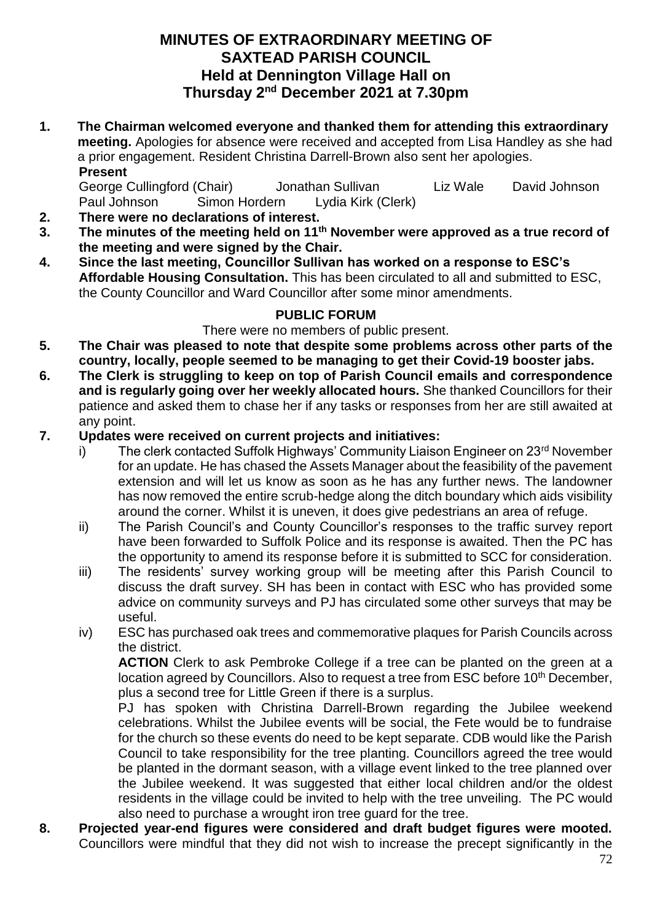## **MINUTES OF EXTRAORDINARY MEETING OF SAXTEAD PARISH COUNCIL Held at Dennington Village Hall on Thursday 2 nd December 2021 at 7.30pm**

**1. The Chairman welcomed everyone and thanked them for attending this extraordinary meeting.** Apologies for absence were received and accepted from Lisa Handley as she had a prior engagement. Resident Christina Darrell-Brown also sent her apologies. **Present**

George Cullingford (Chair) Jonathan Sullivan Liz Wale David Johnson Paul Johnson Simon Hordern Lydia Kirk (Clerk)

- **2. There were no declarations of interest.**
- **3. The minutes of the meeting held on 11th November were approved as a true record of the meeting and were signed by the Chair.**
- **4. Since the last meeting, Councillor Sullivan has worked on a response to ESC's Affordable Housing Consultation.** This has been circulated to all and submitted to ESC, the County Councillor and Ward Councillor after some minor amendments.

## **PUBLIC FORUM**

## There were no members of public present.

- **5. The Chair was pleased to note that despite some problems across other parts of the country, locally, people seemed to be managing to get their Covid-19 booster jabs.**
- **6. The Clerk is struggling to keep on top of Parish Council emails and correspondence and is regularly going over her weekly allocated hours.** She thanked Councillors for their patience and asked them to chase her if any tasks or responses from her are still awaited at any point.

## **7. Updates were received on current projects and initiatives:**

- i) The clerk contacted Suffolk Highways' Community Liaison Engineer on 23<sup>rd</sup> November for an update. He has chased the Assets Manager about the feasibility of the pavement extension and will let us know as soon as he has any further news. The landowner has now removed the entire scrub-hedge along the ditch boundary which aids visibility around the corner. Whilst it is uneven, it does give pedestrians an area of refuge.
- ii) The Parish Council's and County Councillor's responses to the traffic survey report have been forwarded to Suffolk Police and its response is awaited. Then the PC has the opportunity to amend its response before it is submitted to SCC for consideration.
- iii) The residents' survey working group will be meeting after this Parish Council to discuss the draft survey. SH has been in contact with ESC who has provided some advice on community surveys and PJ has circulated some other surveys that may be useful.
- iv) ESC has purchased oak trees and commemorative plaques for Parish Councils across the district.

**ACTION** Clerk to ask Pembroke College if a tree can be planted on the green at a location agreed by Councillors. Also to request a tree from ESC before 10<sup>th</sup> December, plus a second tree for Little Green if there is a surplus.

PJ has spoken with Christina Darrell-Brown regarding the Jubilee weekend celebrations. Whilst the Jubilee events will be social, the Fete would be to fundraise for the church so these events do need to be kept separate. CDB would like the Parish Council to take responsibility for the tree planting. Councillors agreed the tree would be planted in the dormant season, with a village event linked to the tree planned over the Jubilee weekend. It was suggested that either local children and/or the oldest residents in the village could be invited to help with the tree unveiling. The PC would also need to purchase a wrought iron tree guard for the tree.

**8. Projected year-end figures were considered and draft budget figures were mooted.**  Councillors were mindful that they did not wish to increase the precept significantly in the